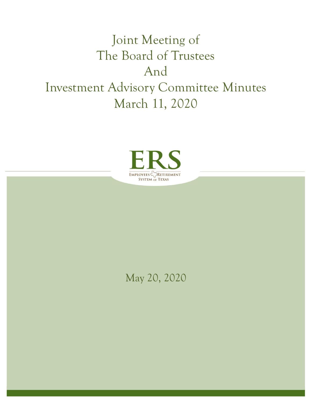# Joint Meeting of The Board of Trustees And Investment Advisory Committee Minutes March 11, 2020



## May 20, 2020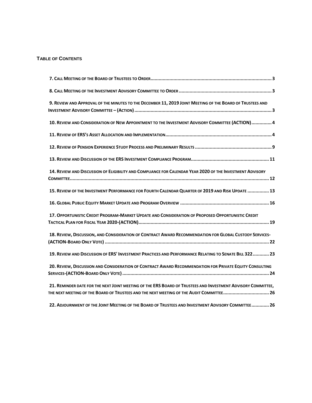#### **TABLE OF CONTENTS**

| 9. REVIEW AND APPROVAL OF THE MINUTES TO THE DECEMBER 11, 2019 JOINT MEETING OF THE BOARD OF TRUSTEES AND                                                                                                |
|----------------------------------------------------------------------------------------------------------------------------------------------------------------------------------------------------------|
| 10. REVIEW AND CONSIDERATION OF NEW APPOINTMENT TO THE INVESTMENT ADVISORY COMMITTEE (ACTION) 4                                                                                                          |
|                                                                                                                                                                                                          |
|                                                                                                                                                                                                          |
|                                                                                                                                                                                                          |
| 14. REVIEW AND DISCUSSION OF ELIGIBILITY AND COMPLIANCE FOR CALENDAR YEAR 2020 OF THE INVESTMENT ADVISORY                                                                                                |
| 15. REVIEW OF THE INVESTMENT PERFORMANCE FOR FOURTH CALENDAR QUARTER OF 2019 AND RISK UPDATE  13                                                                                                         |
|                                                                                                                                                                                                          |
| 17. OPPORTUNISTIC CREDIT PROGRAM-MARKET UPDATE AND CONSIDERATION OF PROPOSED OPPORTUNISTIC CREDIT                                                                                                        |
| 18. REVIEW, DISCUSSION, AND CONSIDERATION OF CONTRACT AWARD RECOMMENDATION FOR GLOBAL CUSTODY SERVICES-                                                                                                  |
| 19. REVIEW AND DISCUSSION OF ERS' INVESTMENT PRACTICES AND PERFORMANCE RELATING TO SENATE BILL 322  23                                                                                                   |
| 20. REVIEW, DISCUSSION AND CONSIDERATION OF CONTRACT AWARD RECOMMENDATION FOR PRIVATE EQUITY CONSULTING                                                                                                  |
| 21. REMINDER DATE FOR THE NEXT JOINT MEETING OF THE ERS BOARD OF TRUSTEES AND INVESTMENT ADVISORY COMMITTEE,<br>THE NEXT MEETING OF THE BOARD OF TRUSTEES AND THE NEXT MEETING OF THE AUDIT COMMITTEE 26 |
| 22. ADJOURNMENT OF THE JOINT MEETING OF THE BOARD OF TRUSTEES AND INVESTMENT ADVISORY COMMITTEE 26                                                                                                       |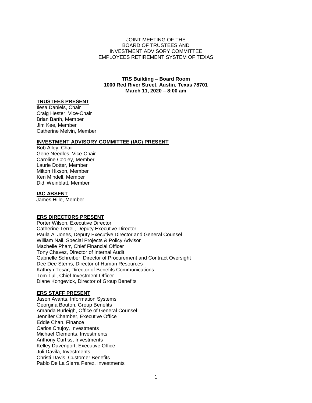#### JOINT MEETING OF THE BOARD OF TRUSTEES AND INVESTMENT ADVISORY COMMITTEE EMPLOYEES RETIREMENT SYSTEM OF TEXAS

#### **TRS Building – Board Room 1000 Red River Street, Austin, Texas 78701 March 11, 2020 – 8:00 am**

#### **TRUSTEES PRESENT**

Ilesa Daniels, Chair Craig Hester, Vice-Chair Brian Barth, Member Jim Kee, Member Catherine Melvin, Member

#### **INVESTMENT ADVISORY COMMITTEE (IAC) PRESENT**

Bob Alley, Chair Gene Needles, Vice-Chair Caroline Cooley, Member Laurie Dotter, Member Milton Hixson, Member Ken Mindell, Member Didi Weinblatt, Member

#### **IAC ABSENT**

James Hille, Member

#### **ERS DIRECTORS PRESENT**

Porter Wilson, Executive Director Catherine Terrell, Deputy Executive Director Paula A. Jones, Deputy Executive Director and General Counsel William Nail, Special Projects & Policy Advisor Machelle Pharr, Chief Financial Officer Tony Chavez, Director of Internal Audit Gabrielle Schreiber, Director of Procurement and Contract Oversight Dee Dee Sterns, Director of Human Resources Kathryn Tesar, Director of Benefits Communications Tom Tull, Chief Investment Officer Diane Kongevick, Director of Group Benefits

#### **ERS STAFF PRESENT**

Jason Avants, Information Systems Georgina Bouton, Group Benefits Amanda Burleigh, Office of General Counsel Jennifer Chamber, Executive Office Eddie Chan, Finance Carlos Chujoy, Investments Michael Clements, Investments Anthony Curtiss, Investments Kelley Davenport, Executive Office Juli Davila, Investments Christi Davis, Customer Benefits Pablo De La Sierra Perez, Investments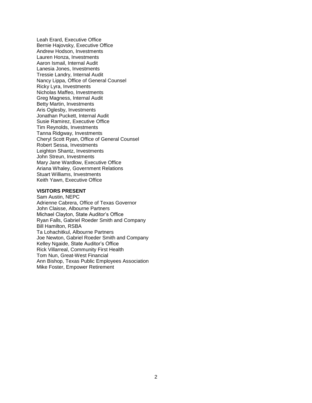Leah Erard, Executive Office Bernie Hajovsky, Executive Office Andrew Hodson, Investments Lauren Honza, Investments Aaron Ismail, Internal Audit Lanesia Jones, Investments Tressie Landry, Internal Audit Nancy Lippa, Office of General Counsel Ricky Lyra, Investments Nicholas Maffeo, Investments Greg Magness, Internal Audit Betty Martin, Investments Aris Oglesby, Investments Jonathan Puckett, Internal Audit Susie Ramirez, Executive Office Tim Reynolds, Investments Tanna Ridgway, Investments Cheryl Scott Ryan, Office of General Counsel Robert Sessa, Investments Leighton Shantz, Investments John Streun, Investments Mary Jane Wardlow, Executive Office Ariana Whaley, Government Relations Stuart Williams, Investments Keith Yawn, Executive Office

#### **VISITORS PRESENT**

Sam Austin, NEPC Adrienne Cabrera, Office of Texas Governor John Claisse, Albourne Partners Michael Clayton, State Auditor's Office Ryan Falls, Gabriel Roeder Smith and Company Bill Hamilton, RSBA Ta Lohachitkul, Albourne Partners Joe Newton, Gabriel Roeder Smith and Company Kelley Ngaide, State Auditor's Office Rick Villarreal, Community First Health Tom Nun, Great-West Financial Ann Bishop, Texas Public Employees Association Mike Foster, Empower Retirement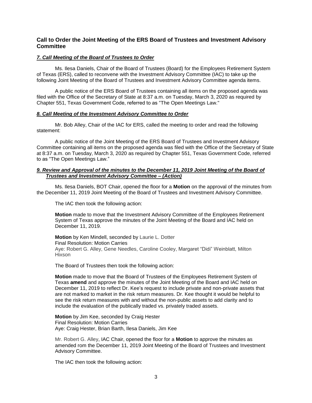### **Call to Order the Joint Meeting of the ERS Board of Trustees and Investment Advisory Committee**

#### <span id="page-4-0"></span>*7. Call Meeting of the Board of Trustees to Order*

Ms. Ilesa Daniels, Chair of the Board of Trustees (Board) for the Employees Retirement System of Texas (ERS), called to reconvene with the Investment Advisory Committee (IAC) to take up the following Joint Meeting of the Board of Trustees and Investment Advisory Committee agenda items.

A public notice of the ERS Board of Trustees containing all items on the proposed agenda was filed with the Office of the Secretary of State at 8:37 a.m. on Tuesday, March 3, 2020 as required by Chapter 551, Texas Government Code, referred to as "The Open Meetings Law."

#### <span id="page-4-1"></span>*8. Call Meeting of the Investment Advisory Committee to Order*

Mr. Bob Alley, Chair of the IAC for ERS, called the meeting to order and read the following statement:

A public notice of the Joint Meeting of the ERS Board of Trustees and Investment Advisory Committee containing all items on the proposed agenda was filed with the Office of the Secretary of State at 8:37 a.m. on Tuesday, March 3, 2020 as required by Chapter 551, Texas Government Code, referred to as "The Open Meetings Law."

#### <span id="page-4-2"></span>*9. Review and Approval of the minutes to the December 11, 2019 Joint Meeting of the Board of Trustees and Investment Advisory Committee – (Action)*

Ms. Ilesa Daniels, BOT Chair, opened the floor for a **Motion** on the approval of the minutes from the December 11, 2019 Joint Meeting of the Board of Trustees and Investment Advisory Committee.

The IAC then took the following action:

**Motion** made to move that the Investment Advisory Committee of the Employees Retirement System of Texas approve the minutes of the Joint Meeting of the Board and IAC held on December 11, 2019.

**Motion** by Ken Mindell, seconded by Laurie L. Dotter Final Resolution: Motion Carries Aye: Robert G. Alley, Gene Needles, Caroline Cooley, Margaret "Didi" Weinblatt, Milton Hixson

The Board of Trustees then took the following action:

**Motion** made to move that the Board of Trustees of the Employees Retirement System of Texas **amend** and approve the minutes of the Joint Meeting of the Board and IAC held on December 11, 2019 to reflect Dr. Kee's request to include private and non-private assets that are not marked to market in the risk return measures. Dr. Kee thought it would be helpful to see the risk return measures with and without the non-public assets to add clarity and to include the evaluation of the publically traded vs. privately traded assets.

**Motion** by Jim Kee, seconded by Craig Hester Final Resolution: Motion Carries Aye: Craig Hester, Brian Barth, Ilesa Daniels, Jim Kee

Mr. Robert G. Alley, IAC Chair, opened the floor for a **Motion** to approve the minutes as amended rom the December 11, 2019 Joint Meeting of the Board of Trustees and Investment Advisory Committee.

The IAC then took the following action: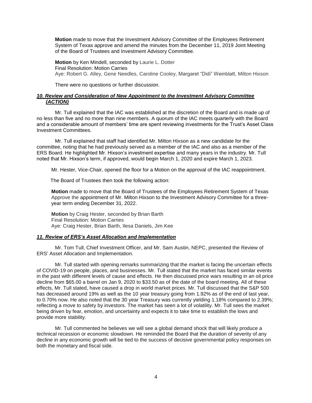**Motion** made to move that the Investment Advisory Committee of the Employees Retirement System of Texas approve and amend the minutes from the December 11, 2019 Joint Meeting of the Board of Trustees and Investment Advisory Committee.

**Motion** by Ken Mindell, seconded by Laurie L. Dotter Final Resolution: Motion Carries Aye: Robert G. Alley, Gene Needles, Caroline Cooley, Margaret "Didi" Weinblatt, Milton Hixson

There were no questions or further discussion.

#### <span id="page-5-0"></span>*10. Review and Consideration of New Appointment to the Investment Advisory Committee (ACTION)*

Mr. Tull explained that the IAC was established at the discretion of the Board and is made up of no less than five and no more than nine members. A quorum of the IAC meets quarterly with the Board and a considerable amount of members' time are spent reviewing investments for the Trust's Asset Class Investment Committees.

Mr. Tull explained that staff had identified Mr. Milton Hixson as a new candidate for the committee, noting that he had previously served as a member of the IAC and also as a member of the ERS Board. He highlighted Mr. Hixson's investment expertise and many years in the industry. Mr. Tull noted that Mr. Hixson's term, if approved, would begin March 1, 2020 and expire March 1, 2023.

Mr. Hester, Vice-Chair, opened the floor for a Motion on the approval of the IAC reappointment.

The Board of Trustees then took the following action:

**Motion** made to move that the Board of Trustees of the Employees Retirement System of Texas Approve the appointment of Mr. Milton Hixson to the Investment Advisory Committee for a threeyear term ending December 31, 2022.

**Motion** by Craig Hester, seconded by Brian Barth Final Resolution: Motion Carries Aye: Craig Hester, Brian Barth, Ilesa Daniels, Jim Kee

#### <span id="page-5-1"></span>*11. Review of ERS's Asset Allocation and Implementation*

Mr. Tom Tull, Chief Investment Officer, and Mr. Sam Austin, NEPC, presented the Review of ERS' Asset Allocation and Implementation.

Mr. Tull started with opening remarks summarizing that the market is facing the uncertain effects of COVID-19 on people, places, and businesses. Mr. Tull stated that the market has faced similar events in the past with different levels of cause and effects. He then discussed price wars resulting in an oil price decline from \$65.00 a barrel on Jan 9, 2020 to \$33.50 as of the date of the board meeting. All of these effects, Mr. Tull stated, have caused a drop in world market prices. Mr. Tull discussed that the S&P 500 has decreased around 19% as well as the 10 year treasury going from 1.92% as of the end of last year, to 0.70% now. He also noted that the 30 year Treasury was currently yielding 1.18% compared to 2.39%; reflecting a move to safety by investors. The market has seen a lot of volatility. Mr. Tull sees the market being driven by fear, emotion, and uncertainty and expects it to take time to establish the lows and provide more stability.

Mr. Tull commented he believes we will see a global demand shock that will likely produce a technical recession or economic slowdown. He reminded the Board that the duration of severity of any decline in any economic growth will be tied to the success of decisive governmental policy responses on both the monetary and fiscal side.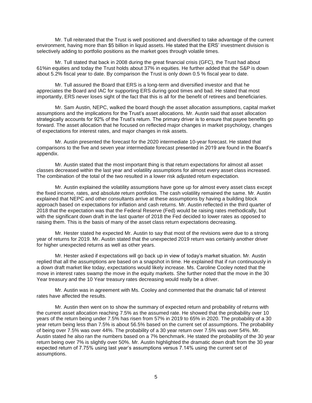Mr. Tull reiterated that the Trust is well positioned and diversified to take advantage of the current environment, having more than \$5 billion in liquid assets. He stated that the ERS' investment division is selectively adding to portfolio positions as the market goes through volatile times.

Mr. Tull stated that back in 2008 during the great financial crisis (GFC), the Trust had about 61%in equities and today the Trust holds about 37% in equities. He further added that the S&P is down about 5.2% fiscal year to date. By comparison the Trust is only down 0.5 % fiscal year to date.

Mr. Tull assured the Board that ERS is a long-term and diversified investor and that he appreciates the Board and IAC for supporting ERS during good times and bad. He stated that most importantly, ERS never loses sight of the fact that this is all for the benefit of retirees and beneficiaries.

Mr. Sam Austin, NEPC, walked the board though the asset allocation assumptions, capital market assumptions and the implications for the Trust's asset allocations. Mr. Austin said that asset allocation strategically accounts for 92% of the Trust's return. The primary driver is to ensure that payee benefits go forward. The asset allocation that he focused on reflected major changes in market psychology, changes of expectations for interest rates, and major changes in risk assets.

Mr. Austin presented the forecast for the 2020 intermediate 10-year forecast. He stated that comparisons to the five and seven year intermediate forecast presented in 2019 are found in the Board's appendix.

Mr. Austin stated that the most important thing is that return expectations for almost all asset classes decreased within the last year and volatility assumptions for almost every asset class increased. The combination of the total of the two resulted in a lower risk adjusted return expectation.

Mr. Austin explained the volatility assumptions have gone up for almost every asset class except the fixed income, rates, and absolute return portfolios. The cash volatility remained the same. Mr. Austin explained that NEPC and other consultants arrive at these assumptions by having a building block approach based on expectations for inflation and cash returns. Mr. Austin reflected in the third quarter of 2018 that the expectation was that the Federal Reserve (Fed) would be raising rates methodically, but with the significant down draft in the last quarter of 2018 the Fed decided to lower rates as opposed to raising them. This is the basis of many of the asset class return expectations decreasing.

Mr. Hester stated he expected Mr. Austin to say that most of the revisions were due to a strong year of returns for 2019. Mr. Austin stated that the unexpected 2019 return was certainly another driver for higher unexpected returns as well as other years.

Mr. Hester asked if expectations will go back up in view of today's market situation. Mr. Austin replied that all the assumptions are based on a snapshot in time. He explained that if run continuously in a down draft market like today, expectations would likely increase. Ms. Caroline Cooley noted that the move in interest rates swamp the move in the equity markets. She further noted that the move in the 30 Year treasury and the 10 Year treasury rates decreasing would really be a driver.

Mr. Austin was in agreement with Ms. Cooley and commented that the dramatic fall of interest rates have affected the results.

Mr. Austin then went on to show the summary of expected return and probability of returns with the current asset allocation reaching 7.5% as the assumed rate. He showed that the probability over 10 years of the return being under 7.5% has risen from 57% in 2019 to 65% in 2020. The probability of a 30 year return being less than 7.5% is about 56.5% based on the current set of assumptions. The probability of being over 7.5% was over 44%. The probability of a 30 year return over 7.5% was over 54%. Mr. Austin stated he also ran the numbers based on a 7% benchmark. He stated the probability of the 30 year return being over 7% is slightly over 50%. Mr. Austin highlighted the dramatic down draft from the 30 year expected return of 7.75% using last year's assumptions versus 7.14% using the current set of assumptions.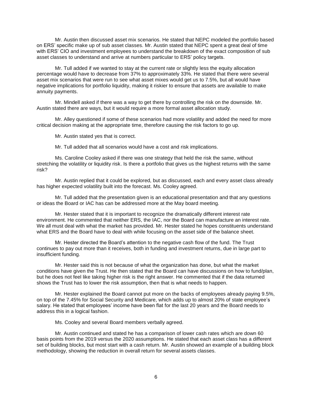Mr. Austin then discussed asset mix scenarios. He stated that NEPC modeled the portfolio based on ERS' specific make up of sub asset classes. Mr. Austin stated that NEPC spent a great deal of time with ERS' CIO and investment employees to understand the breakdown of the exact composition of sub asset classes to understand and arrive at numbers particular to ERS' policy targets.

Mr. Tull added if we wanted to stay at the current rate or slightly less the equity allocation percentage would have to decrease from 37% to approximately 33%. He stated that there were several asset mix scenarios that were run to see what asset mixes would get us to 7.5%, but all would have negative implications for portfolio liquidity, making it riskier to ensure that assets are available to make annuity payments.

Mr. Mindell asked if there was a way to get there by controlling the risk on the downside. Mr. Austin stated there are ways, but it would require a more formal asset allocation study.

Mr. Alley questioned if some of these scenarios had more volatility and added the need for more critical decision making at the appropriate time, therefore causing the risk factors to go up.

Mr. Austin stated yes that is correct.

Mr. Tull added that all scenarios would have a cost and risk implications.

Ms. Caroline Cooley asked if there was one strategy that held the risk the same, without stretching the volatility or liquidity risk. Is there a portfolio that gives us the highest returns with the same risk?

Mr. Austin replied that it could be explored, but as discussed, each and every asset class already has higher expected volatility built into the forecast. Ms. Cooley agreed.

Mr. Tull added that the presentation given is an educational presentation and that any questions or ideas the Board or IAC has can be addressed more at the May board meeting.

Mr. Hester stated that it is important to recognize the dramatically different interest rate environment. He commented that neither ERS, the IAC, nor the Board can manufacture an interest rate. We all must deal with what the market has provided. Mr. Hester stated he hopes constituents understand what ERS and the Board have to deal with while focusing on the asset side of the balance sheet.

Mr. Hester directed the Board's attention to the negative cash flow of the fund. The Trust continues to pay out more than it receives, both in funding and investment returns, due in large part to insufficient funding.

Mr. Hester said this is not because of what the organization has done, but what the market conditions have given the Trust. He then stated that the Board can have discussions on how to fund/plan, but he does not feel like taking higher risk is the right answer. He commented that if the data returned shows the Trust has to lower the risk assumption, then that is what needs to happen.

Mr. Hester explained the Board cannot put more on the backs of employees already paying 9.5%, on top of the 7.45% for Social Security and Medicare, which adds up to almost 20% of state employee's salary. He stated that employees' income have been flat for the last 20 years and the Board needs to address this in a logical fashion.

Ms. Cooley and several Board members verbally agreed.

Mr. Austin continued and stated he has a comparison of lower cash rates which are down 60 basis points from the 2019 versus the 2020 assumptions. He stated that each asset class has a different set of building blocks, but most start with a cash return. Mr. Austin showed an example of a building block methodology, showing the reduction in overall return for several assets classes.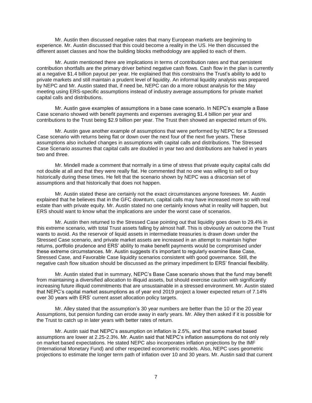Mr. Austin then discussed negative rates that many European markets are beginning to experience. Mr. Austin discussed that this could become a reality in the US. He then discussed the different asset classes and how the building blocks methodology are applied to each of them.

Mr. Austin mentioned there are implications in terms of contribution rates and that persistent contribution shortfalls are the primary driver behind negative cash flows. Cash flow in the plan is currently at a negative \$1.4 billion payout per year. He explained that this constrains the Trust's ability to add to private markets and still maintain a prudent level of liquidity. An informal liquidity analysis was prepared by NEPC and Mr. Austin stated that, if need be, NEPC can do a more robust analysis for the May meeting using ERS-specific assumptions instead of industry average assumptions for private market capital calls and distributions.

Mr. Austin gave examples of assumptions in a base case scenario. In NEPC's example a Base Case scenario showed with benefit payments and expenses averaging \$1.4 billion per year and contributions to the Trust being \$2.9 billion per year. The Trust then showed an expected return of 6%.

Mr. Austin gave another example of assumptions that were performed by NEPC for a Stressed Case scenario with returns being flat or down over the next four of the next five years. These assumptions also included changes in assumptions with capital calls and distributions. The Stressed Case Scenario assumes that capital calls are doubled in year two and distributions are halved in years two and three.

Mr. Mindell made a comment that normally in a time of stress that private equity capital calls did not double at all and that they were really flat. He commented that no one was willing to sell or buy historically during these times. He felt that the scenario shown by NEPC was a draconian set of assumptions and that historically that does not happen.

Mr. Austin stated these are certainly not the exact circumstances anyone foresees. Mr. Austin explained that he believes that in the GFC downturn, capital calls may have increased more so with real estate than with private equity. Mr. Austin stated no one certainly knows what in reality will happen, but ERS should want to know what the implications are under the worst case of scenarios.

Mr. Austin then returned to the Stressed Case pointing out that liquidity goes down to 29.4% in this extreme scenario, with total Trust assets falling by almost half. This is obviously an outcome the Trust wants to avoid. As the reservoir of liquid assets in intermediate treasuries is drawn down under the Stressed Case scenario, and private market assets are increased in an attempt to maintain higher returns, portfolio prudence and ERS' ability to make benefit payments would be compromised under these extreme circumstances. Mr. Austin suggests it's important to regularly examine Base Case, Stressed Case, and Favorable Case liquidity scenarios consistent with good governance. Still, the negative cash flow situation should be discussed as the primary impediment to ERS' financial flexibility.

Mr. Austin stated that in summary, NEPC's Base Case scenario shows that the fund may benefit from maintaining a diversified allocation to illiquid assets, but should exercise caution with significantly increasing future illiquid commitments that are unsustainable in a stressed environment. Mr. Austin stated that NEPC's capital market assumptions as of year end 2019 project a lower expected return of 7.14% over 30 years with ERS' current asset allocation policy targets.

Mr. Alley stated that the assumption's 30 year numbers are better than the 10 or the 20 year Assumptions, but pension funding can erode away in early years. Mr. Alley then asked if it is possible for the Trust to catch up in later years with better rates of return.

Mr. Austin said that NEPC's assumption on inflation is 2.5%, and that some market based assumptions are lower at 2.25-2.3%. Mr. Austin said that NEPC's inflation assumptions do not only rely on market based expectations. He stated NEPC also incorporates inflation projections by the IMF (International Monetary Fund) and other respected econometric models. Also, NEPC uses geometric projections to estimate the longer term path of inflation over 10 and 30 years. Mr. Austin said that current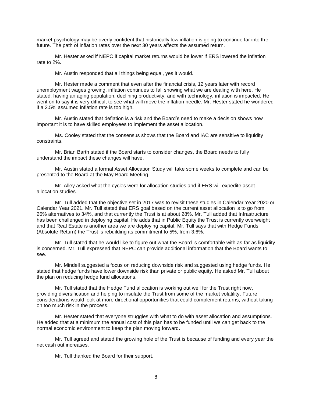market psychology may be overly confident that historically low inflation is going to continue far into the future. The path of inflation rates over the next 30 years affects the assumed return.

Mr. Hester asked if NEPC if capital market returns would be lower if ERS lowered the inflation rate to 2%.

Mr. Austin responded that all things being equal, yes it would.

Mr. Hester made a comment that even after the financial crisis, 12 years later with record unemployment wages growing, inflation continues to fall showing what we are dealing with here. He stated, having an aging population, declining productivity, and with technology, inflation is impacted. He went on to say it is very difficult to see what will move the inflation needle. Mr. Hester stated he wondered if a 2.5% assumed inflation rate is too high.

Mr. Austin stated that deflation is a risk and the Board's need to make a decision shows how important it is to have skilled employees to implement the asset allocation.

Ms. Cooley stated that the consensus shows that the Board and IAC are sensitive to liquidity constraints.

Mr. Brian Barth stated if the Board starts to consider changes, the Board needs to fully understand the impact these changes will have.

Mr. Austin stated a formal Asset Allocation Study will take some weeks to complete and can be presented to the Board at the May Board Meeting.

Mr. Alley asked what the cycles were for allocation studies and if ERS will expedite asset allocation studies.

Mr. Tull added that the objective set in 2017 was to revisit these studies in Calendar Year 2020 or Calendar Year 2021. Mr. Tull stated that ERS goal based on the current asset allocation is to go from 26% alternatives to 34%, and that currently the Trust is at about 28%. Mr. Tull added that Infrastructure has been challenged in deploying capital. He adds that in Public Equity the Trust is currently overweight and that Real Estate is another area we are deploying capital. Mr. Tull says that with Hedge Funds (Absolute Return) the Trust is rebuilding its commitment to 5%, from 3.6%.

Mr. Tull stated that he would like to figure out what the Board is comfortable with as far as liquidity is concerned. Mr. Tull expressed that NEPC can provide additional information that the Board wants to see.

Mr. Mindell suggested a focus on reducing downside risk and suggested using hedge funds. He stated that hedge funds have lower downside risk than private or public equity. He asked Mr. Tull about the plan on reducing hedge fund allocations.

Mr. Tull stated that the Hedge Fund allocation is working out well for the Trust right now, providing diversification and helping to insulate the Trust from some of the market volatility. Future considerations would look at more directional opportunities that could complement returns, without taking on too much risk in the process.

Mr. Hester stated that everyone struggles with what to do with asset allocation and assumptions. He added that at a minimum the annual cost of this plan has to be funded until we can get back to the normal economic environment to keep the plan moving forward.

Mr. Tull agreed and stated the growing hole of the Trust is because of funding and every year the net cash out increases.

Mr. Tull thanked the Board for their support.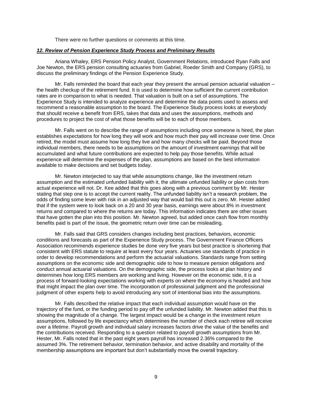There were no further questions or comments at this time.

#### <span id="page-10-0"></span>*12. Review of Pension Experience Study Process and Preliminary Results*

Ariana Whaley, ERS Pension Policy Analyst, Government Relations, introduced Ryan Falls and Joe Newton, the ERS pension consulting actuaries from Gabriel, Roeder Smith and Company (GRS), to discuss the preliminary findings of the Pension Experience Study.

Mr. Falls reminded the board that each year they present the annual pension actuarial valuation – the health checkup of the retirement fund. It is used to determine how sufficient the current contribution rates are in comparison to what is needed. That valuation is built on a set of assumptions. The Experience Study is intended to analyze experience and determine the data points used to assess and recommend a reasonable assumption to the board. The Experience Study process looks at everybody that should receive a benefit from ERS, takes that data and uses the assumptions, methods and procedures to project the cost of what those benefits will be to each of those members.

Mr. Falls went on to describe the range of assumptions including once someone is hired, the plan establishes expectations for how long they will work and how much their pay will increase over time. Once retired, the model must assume how long they live and how many checks will be paid. Beyond those individual members, there needs to be assumptions on the amount of investment earnings that will be accumulated and what future contributions are expected to help pay those benefits. While actual experience will determine the expenses of the plan, assumptions are based on the best information available to make decisions and set budgets today.

Mr. Newton interjected to say that while assumptions change, like the investment return assumption and the estimated unfunded liability with it, the ultimate unfunded liability or plan costs from actual experience will not. Dr. Kee added that this goes along with a previous comment by Mr. Hester stating that step one is to accept the current reality. The unfunded liability isn't a research problem, the odds of finding some lever with risk in an adjusted way that would bail this out is zero. Mr. Hester added that if the system were to look back on a 20 and 30 year basis, earnings were about 8% in investment returns and compared to where the returns are today. This information indicates there are other issues that have gotten the plan into this position. Mr. Newton agreed, but added once cash flow from monthly benefits paid is part of the issue, the geometric return over time can be misleading.

Mr. Falls said that GRS considers changes including best practices, behaviors, economic conditions and forecasts as part of the Experience Study process. The Government Finance Officers Association recommends experience studies be done very five years but best practice is shortening that consistent with ERS statute to require at least every four years. Actuaries use standards of practice in order to develop recommendations and perform the actuarial valuations. Standards range from setting assumptions on the economic side and demographic side to how to measure pension obligations and conduct annual actuarial valuations. On the demographic side, the process looks at plan history and determines how long ERS members are working and living. However on the economic side, it is a process of forward-looking expectations working with experts on where the economy is headed and how that might impact the plan over time. The incorporation of professional judgment and the professional judgment of other experts help to avoid introducing any sort of intentional bias into the assumptions.

Mr. Falls described the relative impact that each individual assumption would have on the trajectory of the fund, or the funding period to pay off the unfunded liability. Mr. Newton added that this is showing the magnitude of a change. The largest impact would be a change in the investment return assumptions, followed by life expectancy which determines the number of check each retiree will receive over a lifetime. Payroll growth and individual salary increases factors drive the value of the benefits and the contributions received. Responding to a question related to payroll growth assumptions from Mr. Hester, Mr. Falls noted that in the past eight years payroll has increased 2.36% compared to the assumed 3%. The retirement behavior, termination behavior, and active disability and mortality of the membership assumptions are important but don't substantially move the overall trajectory.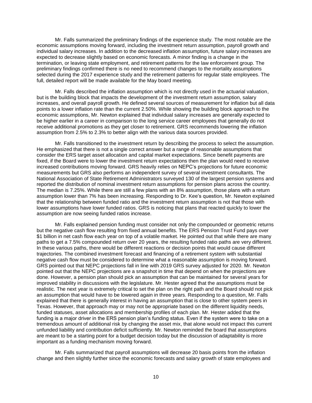Mr. Falls summarized the preliminary findings of the experience study. The most notable are the economic assumptions moving forward, including the investment return assumption, payroll growth and individual salary increases. In addition to the decreased inflation assumption, future salary increases are expected to decrease slightly based on economic forecasts. A minor finding is a change in the termination, or leaving state employment, and retirement patterns for the law enforcement group. The preliminary findings confirmed there is no need to recommend changes to the mortality assumptions selected during the 2017 experience study and the retirement patterns for regular state employees. The full, detailed report will be made available for the May board meeting.

Mr. Falls described the inflation assumption which is not directly used in the actuarial valuation, but is the building block that impacts the development of the investment return assumption, salary increases, and overall payroll growth. He defined several sources of measurement for inflation but all data points to a lower inflation rate than the current 2.50%. While showing the building block approach to the economic assumptions, Mr. Newton explained that individual salary increases are generally expected to be higher earlier in a career in comparison to the long service career employees that generally do not receive additional promotions as they get closer to retirement. GRS recommends lowering the inflation assumption from 2.5% to 2.3% to better align with the various data sources provided.

Mr. Falls transitioned to the investment return by describing the process to select the assumption. He emphasized that there is not a single correct answer but a range of reasonable assumptions that consider the ERS target asset allocation and capital market expectations. Since benefit payments are fixed, if the Board were to lower the investment return expectations then the plan would need to receive increased contributions moving forward. GRS heavily relies on NEPC's projections for future economic measurements but GRS also performs an independent survey of several investment consultants. The National Association of State Retirement Administrators surveyed 130 of the largest pension systems and reported the distribution of nominal investment return assumptions for pension plans across the country. The median is 7.25%. While there are still a few plans with an 8% assumption, those plans with a return assumption lower than 7% has been increasing. Responding to Dr. Kee's question, Mr. Newton explained that the relationship between funded ratio and the investment return assumption is not that those with lower assumptions have lower funded ratios. GRS is noticing that plans that reacted quickly to lower the assumption are now seeing funded ratios increase.

Mr. Falls explained pension funding must consider not only the compounded or geometric returns but the negative cash flow resulting from fixed annual benefits. The ERS Pension Trust Fund pays over \$1 billion in net cash flow each year on top of a volatile market. He pointed out that while there are many paths to get a 7.5% compounded return over 20 years, the resulting funded ratio paths are very different. In these various paths, there would be different reactions or decision points that would cause different trajectories. The combined investment forecast and financing of a retirement system with substantial negative cash flow must be considered to determine what a reasonable assumption is moving forward. GRS pointed out that NEPC projections fall in line with 2019 GRS survey adjusted for 2020. Mr. Newton pointed out that the NEPC projections are a snapshot in time that depend on when the projections are done. However, a pension plan should pick an assumption that can be maintained for several years for improved stability in discussions with the legislature. Mr. Hester agreed that the assumptions must be realistic. The next year is extremely critical to set the plan on the right path and the Board should not pick an assumption that would have to be lowered again in three years. Responding to a question, Mr. Falls explained that there is generally interest in having an assumption that is close to other system peers in Texas. However, that approach may or may not be appropriate based on the different liquidity needs, funded statuses, asset allocations and membership profiles of each plan. Mr. Hester added that the funding is a major driver in the ERS pension plan's funding status. Even if the system were to take on a tremendous amount of additional risk by changing the asset mix, that alone would not impact this current unfunded liability and contribution deficit sufficiently. Mr. Newton reminded the board that assumptions are meant to be a starting point for a budget decision today but the discussion of adaptability is more important as a funding mechanism moving forward.

Mr. Falls summarized that payroll assumptions will decrease 20 basis points from the inflation change and then slightly further since the economic forecasts and salary growth of state employees and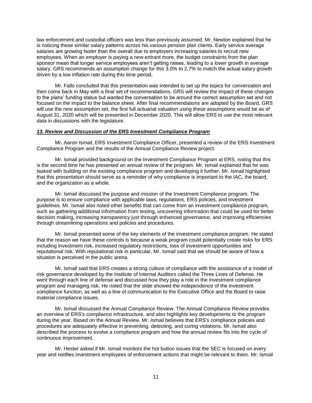law enforcement and custodial officers was less than previously assumed. Mr. Newton explained that he is noticing these similar salary patterns across his various pension plan clients. Early service average salaries are growing faster than the overall due to employers increasing salaries to recruit new employees. When an employer is paying a new entrant more, the budget constraints from the plan sponsor mean that longer service employees aren't getting raises, leading to a lower growth in average salary. GRS recommends an assumption change for this 3.0% to 2.7% to match the actual salary growth driven by a low inflation rate during this time period.

Mr. Falls concluded that this presentation was intended to set up the topics for conversation and then come back in May with a final set of recommendations. GRS will review the impact of these changes to the plans' funding status but wanted the conversation to be around the correct assumption set and not focused on the impact to the balance sheet. After final recommendations are adopted by the Board, GRS will use the new assumption set, the first full actuarial valuation using these assumptions would be as of August 31, 2020 which will be presented in December 2020. This will allow ERS to use the most relevant data in discussions with the legislature.

#### <span id="page-12-0"></span>*13. Review and Discussion of the ERS Investment Compliance Program*

Mr. Aaron Ismail, ERS Investment Compliance Officer, presented a review of the ERS Investment Compliance Program and the results of the Annual Compliance Review project.

Mr. Ismail provided background on the Investment Compliance Program at ERS, noting that this is the second time he has presented an annual review of the program. Mr. Ismail explained that he was tasked with building on the existing compliance program and developing it further. Mr. Ismail highlighted that this presentation should serve as a reminder of why compliance is important to the IAC, the board, and the organization as a whole.

Mr. Ismail discussed the purpose and mission of the Investment Compliance program. The purpose is to ensure compliance with applicable laws, regulations, ERS policies, and investment guidelines. Mr. Ismail also noted other benefits that can come from an investment compliance program, such as gathering additional information from testing, uncovering information that could be used for better decision making, increasing transparency just through enhanced governance, and improving efficiencies through streamlining operations and policies and procedures.

Mr. Ismail presented some of the key elements of the investment compliance program. He stated that the reason we have these controls is because a weak program could potentially create risks for ERS including investment risk, increased regulatory restrictions, loss of investment opportunities and reputational risk. With reputational risk in particular, Mr. Ismail said that we should be aware of how a situation is perceived in the public arena.

Mr. Ismail said that ERS creates a strong culture of compliance with the assistance of a model of risk governance developed by the Institute of Internal Auditors called the Three Lines of Defense. He went through each line of defense and discussed how they play a role in the investment compliance program and managing risk. He noted that the slide showed the independence of the investment compliance function, as well as a line of communication to the Executive Office and the Board to raise material compliance issues.

Mr. Ismail discussed the Annual Compliance Review. The Annual Compliance Review provides an overview of ERS's compliance infrastructure, and also highlights key developments to the program during the year. Based on the Annual Review, Mr. Ismail believes that ERS's compliance policies and procedures are adequately effective in preventing, detecting, and curing violations. Mr. Ismail also described the process to evolve a compliance program and how the annual review fits into the cycle of continuous improvement.

Mr. Hester asked if Mr. Ismail monitors the hot button issues that the SEC is focused on every year and notifies investment employees of enforcement actions that might be relevant to them. Mr. Ismail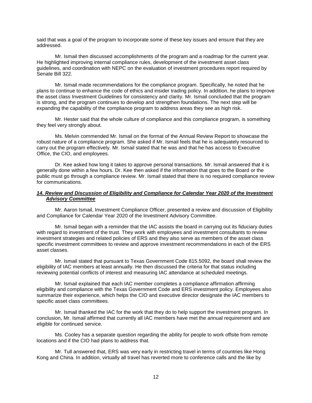said that was a goal of the program to incorporate some of these key issues and ensure that they are addressed.

Mr. Ismail then discussed accomplishments of the program and a roadmap for the current year. He highlighted improving internal compliance rules, development of the investment asset class guidelines, and coordination with NEPC on the evaluation of investment procedures report required by Senate Bill 322.

Mr. Ismail made recommendations for the compliance program. Specifically, he noted that he plans to continue to enhance the code of ethics and insider trading policy. In addition, he plans to improve the asset class Investment Guidelines for consistency and clarity. Mr. Ismail concluded that the program is strong, and the program continues to develop and strengthen foundations. The next step will be expanding the capability of the compliance program to address areas they see as high risk.

Mr. Hester said that the whole culture of compliance and this compliance program, is something they feel very strongly about.

Ms. Melvin commended Mr. Ismail on the format of the Annual Review Report to showcase the robust nature of a compliance program. She asked if Mr. Ismail feels that he is adequately resourced to carry out the program effectively. Mr. Ismail stated that he was and that he has access to Executive Office, the CIO, and employees.

Dr. Kee asked how long it takes to approve personal transactions. Mr. Ismail answered that it is generally done within a few hours. Dr. Kee then asked if the information that goes to the Board or the public must go through a compliance review. Mr. Ismail stated that there is no required compliance review for communications.

#### <span id="page-13-0"></span>*14. Review and Discussion of Eligibility and Compliance for Calendar Year 2020 of the Investment Advisory Committee*

Mr. Aaron Ismail, Investment Compliance Officer, presented a review and discussion of Eligibility and Compliance for Calendar Year 2020 of the Investment Advisory Committee.

Mr. Ismail began with a reminder that the IAC assists the board in carrying out its fiduciary duties with regard to investment of the trust. They work with employees and investment consultants to review investment strategies and related policies of ERS and they also serve as members of the asset class specific investment committees to review and approve investment recommendations in each of the ERS asset classes.

Mr. Ismail stated that pursuant to Texas Government Code 815.5092, the board shall review the eligibility of IAC members at least annually. He then discussed the criteria for that status including reviewing potential conflicts of interest and measuring IAC attendance at scheduled meetings.

Mr. Ismail explained that each IAC member completes a compliance affirmation affirming eligibility and compliance with the Texas Government Code and ERS investment policy. Employees also summarize their experience, which helps the CIO and executive director designate the IAC members to specific asset class committees.

Mr. Ismail thanked the IAC for the work that they do to help support the investment program. In conclusion, Mr. Ismail affirmed that currently all IAC members have met the annual requirement and are eligible for continued service.

Ms. Cooley has a separate question regarding the ability for people to work offsite from remote locations and if the CIO had plans to address that.

Mr. Tull answered that, ERS was very early in restricting travel in terms of countries like Hong Kong and China. In addition, virtually all travel has reverted more to conference calls and the like by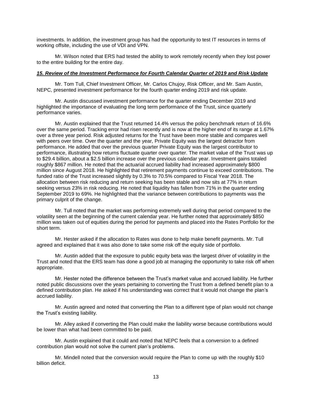investments. In addition, the investment group has had the opportunity to test IT resources in terms of working offsite, including the use of VDI and VPN.

Mr. Wilson noted that ERS had tested the ability to work remotely recently when they lost power to the entire building for the entire day.

#### <span id="page-14-0"></span>*15. Review of the Investment Performance for Fourth Calendar Quarter of 2019 and Risk Update*

Mr. Tom Tull, Chief Investment Officer, Mr. Carlos Chujoy, Risk Officer, and Mr. Sam Austin, NEPC, presented investment performance for the fourth quarter ending 2019 and risk update.

Mr. Austin discussed investment performance for the quarter ending December 2019 and highlighted the importance of evaluating the long term performance of the Trust, since quarterly performance varies.

Mr. Austin explained that the Trust returned 14.4% versus the policy benchmark return of 16.6% over the same period. Tracking error had risen recently and is now at the higher end of its range at 1.67% over a three year period. Risk adjusted returns for the Trust have been more stable and compares well with peers over time. Over the quarter and the year, Private Equity was the largest detractor from performance. He added that over the previous quarter Private Equity was the largest contributor to performance, illustrating how returns fluctuate quarter over quarter. The market value of the Trust was up to \$29.4 billion, about a \$2.5 billion increase over the previous calendar year. Investment gains totaled roughly \$867 million. He noted that the actuarial accrued liability had increased approximately \$800 million since August 2018. He highlighted that retirement payments continue to exceed contributions. The funded ratio of the Trust increased slightly by 0.3% to 70.5% compared to Fiscal Year 2018. The allocation between risk reducing and return seeking has been stable and now sits at 77% in return seeking versus 23% in risk reducing. He noted that liquidity has fallen from 71% in the quarter ending September 2019 to 69%. He highlighted that the variance between contributions to payments was the primary culprit of the change.

Mr. Tull noted that the market was performing extremely well during that period compared to the volatility seen at the beginning of the current calendar year. He further noted that approximately \$850 million was taken out of equities during the period for payments and placed into the Rates Portfolio for the short term.

Mr. Hester asked if the allocation to Rates was done to help make benefit payments. Mr. Tull agreed and explained that it was also done to take some risk off the equity side of portfolio.

Mr. Austin added that the exposure to public equity beta was the largest driver of volatility in the Trust and noted that the ERS team has done a good job at managing the opportunity to take risk off when appropriate.

Mr. Hester noted the difference between the Trust's market value and accrued liability. He further noted public discussions over the years pertaining to converting the Trust from a defined benefit plan to a defined contribution plan. He asked if his understanding was correct that it would not change the plan's accrued liability.

Mr. Austin agreed and noted that converting the Plan to a different type of plan would not change the Trust's existing liability.

Mr. Alley asked if converting the Plan could make the liability worse because contributions would be lower than what had been committed to be paid.

Mr. Austin explained that it could and noted that NEPC feels that a conversion to a defined contribution plan would not solve the current plan's problems.

Mr. Mindell noted that the conversion would require the Plan to come up with the roughly \$10 billion deficit.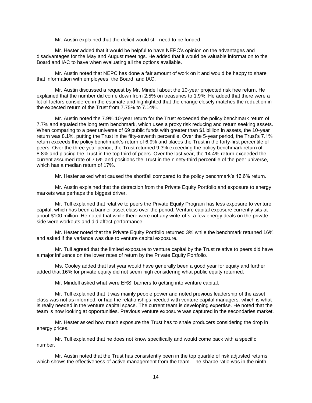Mr. Austin explained that the deficit would still need to be funded.

Mr. Hester added that it would be helpful to have NEPC's opinion on the advantages and disadvantages for the May and August meetings. He added that it would be valuable information to the Board and IAC to have when evaluating all the options available.

Mr. Austin noted that NEPC has done a fair amount of work on it and would be happy to share that information with employees, the Board, and IAC.

Mr. Austin discussed a request by Mr. Mindell about the 10-year projected risk free return. He explained that the number did come down from 2.5% on treasuries to 1.9%. He added that there were a lot of factors considered in the estimate and highlighted that the change closely matches the reduction in the expected return of the Trust from 7.75% to 7.14%.

Mr. Austin noted the 7.9% 10-year return for the Trust exceeded the policy benchmark return of 7.7% and equaled the long term benchmark, which uses a proxy risk reducing and return seeking assets. When comparing to a peer universe of 69 public funds with greater than \$1 billion in assets, the 10-year return was 8.1%, putting the Trust in the fifty-seventh percentile. Over the 5-year period, the Trust's 7.1% return exceeds the policy benchmark's return of 6.9% and places the Trust in the forty-first percentile of peers. Over the three year period, the Trust returned 9.3% exceeding the policy benchmark return of 8.8% and placing the Trust in the top third of peers. Over the last year, the 14.4% return exceeded the current assumed rate of 7.5% and positions the Trust in the ninety-third percentile of the peer universe, which has a median return of 17%.

Mr. Hester asked what caused the shortfall compared to the policy benchmark's 16.6% return.

Mr. Austin explained that the detraction from the Private Equity Portfolio and exposure to energy markets was perhaps the biggest driver.

Mr. Tull explained that relative to peers the Private Equity Program has less exposure to venture capital, which has been a banner asset class over the period. Venture capital exposure currently sits at about \$100 million. He noted that while there were not any write-offs, a few energy deals on the private side were workouts and did affect performance.

Mr. Hester noted that the Private Equity Portfolio returned 3% while the benchmark returned 16% and asked if the variance was due to venture capital exposure.

Mr. Tull agreed that the limited exposure to venture capital by the Trust relative to peers did have a major influence on the lower rates of return by the Private Equity Portfolio.

Ms. Cooley added that last year would have generally been a good year for equity and further added that 16% for private equity did not seem high considering what public equity returned.

Mr. Mindell asked what were ERS' barriers to getting into venture capital.

Mr. Tull explained that it was mainly people power and noted previous leadership of the asset class was not as informed, or had the relationships needed with venture capital managers, which is what is really needed in the venture capital space. The current team is developing expertise. He noted that the team is now looking at opportunities. Previous venture exposure was captured in the secondaries market.

Mr. Hester asked how much exposure the Trust has to shale producers considering the drop in energy prices.

Mr. Tull explained that he does not know specifically and would come back with a specific number.

Mr. Austin noted that the Trust has consistently been in the top quartile of risk adjusted returns which shows the effectiveness of active management from the team. The sharpe ratio was in the ninth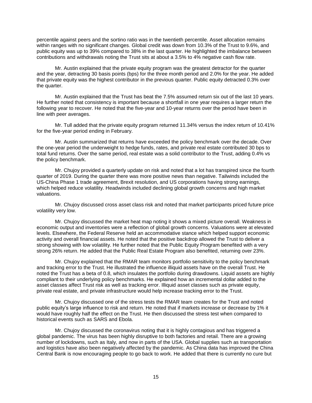percentile against peers and the sortino ratio was in the twentieth percentile. Asset allocation remains within ranges with no significant changes. Global credit was down from 10.3% of the Trust to 9.6%, and public equity was up to 39% compared to 38% in the last quarter. He highlighted the imbalance between contributions and withdrawals noting the Trust sits at about a 3.5% to 4% negative cash flow rate.

Mr. Austin explained that the private equity program was the greatest detractor for the quarter and the year, detracting 30 basis points (bps) for the three month period and 2.0% for the year. He added that private equity was the highest contributor in the previous quarter. Public equity detracted 0.3% over the quarter.

Mr. Austin explained that the Trust has beat the 7.5% assumed return six out of the last 10 years. He further noted that consistency is important because a shortfall in one year requires a larger return the following year to recover. He noted that the five-year and 10-year returns over the period have been in line with peer averages.

Mr. Tull added that the private equity program returned 11.34% versus the index return of 10.41% for the five-year period ending in February.

Mr. Austin summarized that returns have exceeded the policy benchmark over the decade. Over the one-year period the underweight to hedge funds, rates, and private real estate contributed 30 bps to total fund returns. Over the same period, real estate was a solid contributor to the Trust, adding 0.4% vs the policy benchmark.

Mr. Chujoy provided a quarterly update on risk and noted that a lot has transpired since the fourth quarter of 2019. During the quarter there was more positive news than negative. Tailwinds included the US-China Phase 1 trade agreement, Brexit resolution, and US corporations having strong earnings, which helped reduce volatility. Headwinds included declining global growth concerns and high market valuations.

Mr. Chujoy discussed cross asset class risk and noted that market participants priced future price volatility very low.

Mr. Chujoy discussed the market heat map noting it shows a mixed picture overall. Weakness in economic output and inventories were a reflection of global growth concerns. Valuations were at elevated levels. Elsewhere, the Federal Reserve held an accommodative stance which helped support economic activity and overall financial assets. He noted that the positive backdrop allowed the Trust to deliver a strong showing with low volatility. He further noted that the Public Equity Program benefited with a very strong 26% return. He added that the Public Real Estate Program also benefited, returning over 23%.

Mr. Chujoy explained that the RMAR team monitors portfolio sensitivity to the policy benchmark and tracking error to the Trust. He illustrated the influence illiquid assets have on the overall Trust. He noted the Trust has a beta of 0.8, which insulates the portfolio during drawdowns. Liquid assets are highly compliant to their underlying policy benchmarks. He explained how an incremental dollar added to the asset classes affect Trust risk as well as tracking error. Illiquid asset classes such as private equity, private real estate, and private infrastructure would help increase tracking error to the Trust.

Mr. Chujoy discussed one of the stress tests the RMAR team creates for the Trust and noted public equity's large influence to risk and return. He noted that if markets increase or decrease by 1% it would have roughly half the effect on the Trust. He then discussed the stress test when compared to historical events such as SARS and Ebola.

Mr. Chujoy discussed the coronavirus noting that it is highly contagious and has triggered a global pandemic. The virus has been highly disruptive to both factories and retail. There are a growing number of lockdowns, such as Italy, and now in parts of the USA. Global supplies such as transportation and logistics have also been negatively affected by the pandemic. As China data has improved the China Central Bank is now encouraging people to go back to work. He added that there is currently no cure but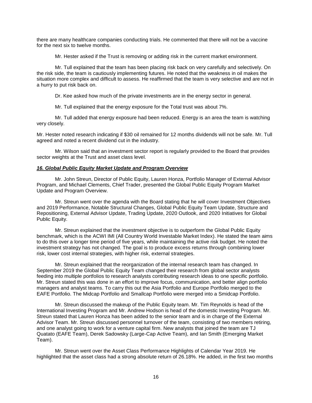there are many healthcare companies conducting trials. He commented that there will not be a vaccine for the next six to twelve months.

Mr. Hester asked if the Trust is removing or adding risk in the current market environment.

Mr. Tull explained that the team has been placing risk back on very carefully and selectively. On the risk side, the team is cautiously implementing futures. He noted that the weakness in oil makes the situation more complex and difficult to assess. He reaffirmed that the team is very selective and are not in a hurry to put risk back on.

Dr. Kee asked how much of the private investments are in the energy sector in general.

Mr. Tull explained that the energy exposure for the Total trust was about 7%.

Mr. Tull added that energy exposure had been reduced. Energy is an area the team is watching very closely.

Mr. Hester noted research indicating if \$30 oil remained for 12 months dividends will not be safe. Mr. Tull agreed and noted a recent dividend cut in the industry.

Mr. Wilson said that an investment sector report is regularly provided to the Board that provides sector weights at the Trust and asset class level.

#### <span id="page-17-0"></span>*16. Global Public Equity Market Update and Program Overview*

Mr. John Streun, Director of Public Equity, Lauren Honza, Portfolio Manager of External Advisor Program, and Michael Clements, Chief Trader, presented the Global Public Equity Program Market Update and Program Overview.

Mr. Streun went over the agenda with the Board stating that he will cover Investment Objectives and 2019 Performance, Notable Structural Changes, Global Public Equity Team Update, Structure and Repositioning, External Advisor Update, Trading Update, 2020 Outlook, and 2020 Initiatives for Global Public Equity.

Mr. Streun explained that the investment objective is to outperform the Global Public Equity benchmark, which is the ACWI IMI (All Country World Investable Market Index). He stated the team aims to do this over a longer time period of five years, while maintaining the active risk budget. He noted the investment strategy has not changed. The goal is to produce excess returns through combining lower risk, lower cost internal strategies, with higher risk, external strategies.

Mr. Streun explained that the reorganization of the internal research team has changed. In September 2019 the Global Public Equity Team changed their research from global sector analysts feeding into multiple portfolios to research analysts contributing research ideas to one specific portfolio. Mr. Streun stated this was done in an effort to improve focus, communication, and better align portfolio managers and analyst teams. To carry this out the Asia Portfolio and Europe Portfolio merged to the EAFE Portfolio. The Midcap Portfolio and Smallcap Portfolio were merged into a Smidcap Portfolio.

Mr. Streun discussed the makeup of the Public Equity team. Mr. Tim Reynolds is head of the International Investing Program and Mr. Andrew Hodson is head of the domestic Investing Program. Mr. Streun stated that Lauren Honza has been added to the senior team and is in charge of the External Advisor Team. Mr. Streun discussed personnel turnover of the team, consisting of two members retiring, and one analyst going to work for a venture capital firm. New analysts that joined the team are TJ Quatato (EAFE Team), Derek Sadowsky (Large-Cap Active Team), and Ian Smith (Emerging Market Team).

Mr. Streun went over the Asset Class Performance Highlights of Calendar Year 2019. He highlighted that the asset class had a strong absolute return of 26.18%. He added, in the first two months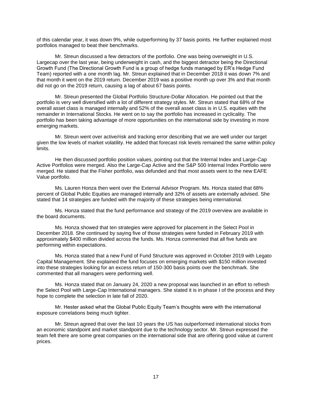of this calendar year, it was down 9%, while outperforming by 37 basis points. He further explained most portfolios managed to beat their benchmarks.

Mr. Streun discussed a few detractors of the portfolio. One was being overweight in U.S. Largecap over the last year, being underweight in cash, and the biggest detractor being the Directional Growth Fund (The Directional Growth Fund is a group of hedge funds managed by ER's Hedge Fund Team) reported with a one month lag. Mr. Streun explained that in December 2018 it was down 7% and that month it went on the 2019 return. December 2019 was a positive month up over 3% and that month did not go on the 2019 return, causing a lag of about 67 basis points.

Mr. Streun presented the Global Portfolio Structure-Dollar Allocation. He pointed out that the portfolio is very well diversified with a lot of different strategy styles. Mr. Streun stated that 68% of the overall asset class is managed internally and 52% of the overall asset class is in U.S. equities with the remainder in International Stocks. He went on to say the portfolio has increased in cyclicality. The portfolio has been taking advantage of more opportunities on the international side by investing in more emerging markets.

Mr. Streun went over active/risk and tracking error describing that we are well under our target given the low levels of market volatility. He added that forecast risk levels remained the same within policy limits.

He then discussed portfolio position values, pointing out that the Internal Index and Large-Cap Active Portfolios were merged. Also the Large-Cap Active and the S&P 500 Internal Index Portfolio were merged. He stated that the Fisher portfolio, was defunded and that most assets went to the new EAFE Value portfolio.

Ms. Lauren Honza then went over the External Advisor Program. Ms. Honza stated that 68% percent of Global Public Equities are managed internally and 32% of assets are externally advised. She stated that 14 strategies are funded with the majority of these strategies being international.

Ms. Honza stated that the fund performance and strategy of the 2019 overview are available in the board documents.

Ms. Honza showed that ten strategies were approved for placement in the Select Pool in December 2018. She continued by saying five of those strategies were funded in February 2019 with approximately \$400 million divided across the funds. Ms. Honza commented that all five funds are performing within expectations.

Ms. Honza stated that a new Fund of Fund Structure was approved in October 2019 with Legato Capital Management. She explained the fund focuses on emerging markets with \$150 million invested into these strategies looking for an excess return of 150-300 basis points over the benchmark. She commented that all managers were performing well.

Ms. Honza stated that on January 24, 2020 a new proposal was launched in an effort to refresh the Select Pool with Large-Cap International managers. She stated it is in phase I of the process and they hope to complete the selection in late fall of 2020.

Mr. Hester asked what the Global Public Equity Team's thoughts were with the international exposure correlations being much tighter.

Mr. Streun agreed that over the last 10 years the US has outperformed international stocks from an economic standpoint and market standpoint due to the technology sector. Mr. Streun expressed the team felt there are some great companies on the international side that are offering good value at current prices.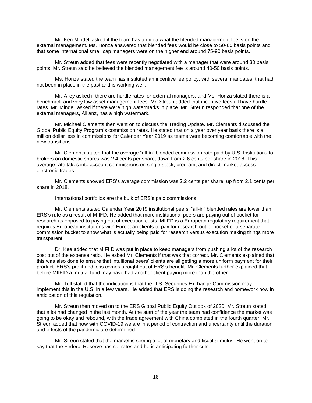Mr. Ken Mindell asked if the team has an idea what the blended management fee is on the external management. Ms. Honza answered that blended fees would be close to 50-60 basis points and that some international small cap managers were on the higher end around 75-90 basis points.

Mr. Streun added that fees were recently negotiated with a manager that were around 30 basis points. Mr. Streun said he believed the blended management fee is around 40-50 basis points.

Ms. Honza stated the team has instituted an incentive fee policy, with several mandates, that had not been in place in the past and is working well.

Mr. Alley asked if there are hurdle rates for external managers, and Ms. Honza stated there is a benchmark and very low asset management fees. Mr. Streun added that incentive fees all have hurdle rates. Mr. Mindell asked if there were high watermarks in place. Mr. Streun responded that one of the external managers, Allianz, has a high watermark.

Mr. Michael Clements then went on to discuss the Trading Update. Mr. Clements discussed the Global Public Equity Program's commission rates. He stated that on a year over year basis there is a million dollar less in commissions for Calendar Year 2019 as teams were becoming comfortable with the new transitions.

Mr. Clements stated that the average "all-in" blended commission rate paid by U.S. Institutions to brokers on domestic shares was 2.4 cents per share, down from 2.6 cents per share in 2018. This average rate takes into account commissions on single stock, program, and direct-market-access electronic trades.

Mr. Clements showed ERS's average commission was 2.2 cents per share, up from 2.1 cents per share in 2018.

International portfolios are the bulk of ERS's paid commissions.

Mr. Clements stated Calendar Year 2019 institutional peers' "all-in" blended rates are lower than ERS's rate as a result of MIIFD. He added that more institutional peers are paying out of pocket for research as opposed to paying out of execution costs. MIIFD is a European regulatory requirement that requires European institutions with European clients to pay for research out of pocket or a separate commission bucket to show what is actually being paid for research versus execution making things more transparent.

Dr. Kee added that MIFIID was put in place to keep managers from pushing a lot of the research cost out of the expense ratio. He asked Mr. Clements if that was that correct. Mr. Clements explained that this was also done to ensure that intuitional peers' clients are all getting a more uniform payment for their product. ERS's profit and loss comes straight out of ERS's benefit. Mr. Clements further explained that before MIIFID a mutual fund may have had another client paying more than the other.

Mr. Tull stated that the indication is that the U.S. Securities Exchange Commission may implement this in the U.S. in a few years. He added that ERS is doing the research and homework now in anticipation of this regulation.

Mr. Streun then moved on to the ERS Global Public Equity Outlook of 2020. Mr. Streun stated that a lot had changed in the last month. At the start of the year the team had confidence the market was going to be okay and rebound, with the trade agreement with China completed in the fourth quarter. Mr. Streun added that now with COVID-19 we are in a period of contraction and uncertainty until the duration and effects of the pandemic are determined.

Mr. Streun stated that the market is seeing a lot of monetary and fiscal stimulus. He went on to say that the Federal Reserve has cut rates and he is anticipating further cuts.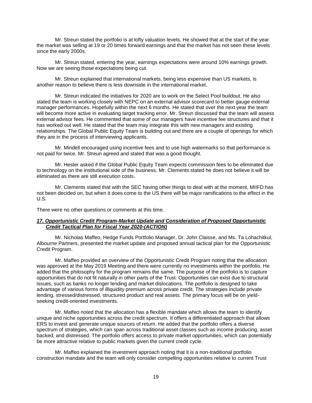Mr. Streun stated the portfolio is at lofty valuation levels. He showed that at the start of the year the market was selling at 19 or 20 times forward earnings and that the market has not seen these levels since the early 2000s.

Mr. Streun stated, entering the year, earnings expectations were around 10% earnings growth. Now we are seeing those expectations being cut.

Mr. Streun explained that international markets, being less expensive than US markets, is another reason to believe there is less downside in the international market.

Mr. Streun indicated the initiatives for 2020 are to work on the Select Pool buildout. He also stated the team is working closely with NEPC on an external advisor scorecard to better gauge external manager performances. Hopefully within the next 6 months. He stated that over the next year the team will become more active in evaluating target tracking error. Mr. Streun discussed that the team will assess external advisor fees. He commented that some of our managers have incentive fee structures and that it has worked out well. He stated that the team may integrate this with new managers and existing relationships. The Global Public Equity Team is building out and there are a couple of openings for which they are in the process of interviewing applicants.

Mr. Mindell encouraged using incentive fees and to use high watermarks so that performance is not paid for twice. Mr. Streun agreed and stated that was a good thought.

Mr. Hester asked if the Global Public Equity Team expects commission fees to be eliminated due to technology on the institutional side of the business. Mr. Clements stated he does not believe it will be eliminated as there are still execution costs.

Mr. Clements stated that with the SEC having other things to deal with at the moment, MIIFD has not been decided on, but when it does come to the US there will be major ramifications to the effect in the U.S.

There were no other questions or comments at this time.

#### <span id="page-20-0"></span>*17. Opportunistic Credit Program-Market Update and Consideration of Proposed Opportunistic Credit Tactical Plan for Fiscal Year 2020-(ACTION)*

Mr. Nicholas Maffeo, Hedge Funds Portfolio Manager, Dr. John Claisse, and Ms. Ta Lohachitkul, Albourne Partners, presented the market update and proposed annual tactical plan for the Opportunistic Credit Program.

Mr. Maffeo provided an overview of the Opportunistic Credit Program noting that the allocation was approved at the May 2019 Meeting and there were currently no investments within the portfolio. He added that the philosophy for the program remains the same. The purpose of the portfolio is to capture opportunities that do not fit naturally in other parts of the Trust. Opportunities can exist due to structural issues, such as banks no longer lending and market dislocations. The portfolio is designed to take advantage of various forms of illiquidity premium across private credit. The strategies include private lending, stressed/distressed, structured product and real assets. The primary focus will be on yieldseeking credit-oriented investments.

Mr. Maffeo noted that the allocation has a flexible mandate which allows the team to identify unique and niche opportunities across the credit spectrum. It offers a differentiated approach that allows ERS to invest and generate unique sources of return. He added that the portfolio offers a diverse spectrum of strategies, which can span across traditional asset classes such as income producing, asset backed, and distressed. The portfolio offers access to private market opportunities, which can potentially be more attractive relative to public markets given the current credit cycle.

Mr. Maffeo explained the investment approach noting that it is a non-traditional portfolio construction mandate and the team will only consider compelling opportunities relative to current Trust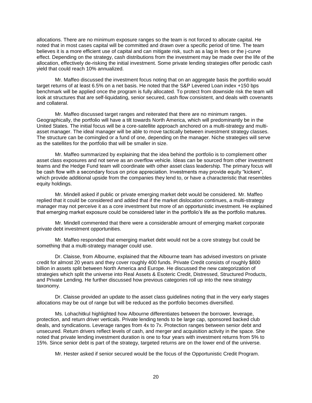allocations. There are no minimum exposure ranges so the team is not forced to allocate capital. He noted that in most cases capital will be committed and drawn over a specific period of time. The team believes it is a more efficient use of capital and can mitigate risk, such as a lag in fees or the j-curve effect. Depending on the strategy, cash distributions from the investment may be made over the life of the allocation, effectively de-risking the initial investment. Some private lending strategies offer periodic cash yield that could reach 10% annualized.

Mr. Maffeo discussed the investment focus noting that on an aggregate basis the portfolio would target returns of at least 6.5% on a net basis. He noted that the S&P Levered Loan index +150 bps benchmark will be applied once the program is fully allocated. To protect from downside risk the team will look at structures that are self-liquidating, senior secured, cash flow consistent, and deals with covenants and collateral.

Mr. Maffeo discussed target ranges and reiterated that there are no minimum ranges. Geographically, the portfolio will have a tilt towards North America, which will predominantly be in the United States. The initial focus will be a core-satellite approach anchored on a multi-strategy and multiasset manager. The ideal manager will be able to move tactically between investment strategy classes. The structure can be comingled or a fund of one, depending on the manager. Niche strategies will serve as the satellites for the portfolio that will be smaller in size.

Mr. Maffeo summarized by explaining that the idea behind the portfolio is to complement other asset class exposures and not serve as an overflow vehicle. Ideas can be sourced from other investment teams and the Hedge Fund team will coordinate with other asset class leadership. The primary focus will be cash flow with a secondary focus on price appreciation. Investments may provide equity "kickers", which provide additional upside from the companies they lend to, or have a characteristic that resembles equity holdings.

Mr. Mindell asked if public or private emerging market debt would be considered. Mr. Maffeo replied that it could be considered and added that if the market dislocation continues, a multi-strategy manager may not perceive it as a core investment but more of an opportunistic investment. He explained that emerging market exposure could be considered later in the portfolio's life as the portfolio matures.

Mr. Mindell commented that there were a considerable amount of emerging market corporate private debt investment opportunities.

Mr. Maffeo responded that emerging market debt would not be a core strategy but could be something that a multi-strategy manager could use.

Dr. Claisse, from Albourne, explained that the Albourne team has advised investors on private credit for almost 20 years and they cover roughly 400 funds. Private Credit consists of roughly \$800 billion in assets split between North America and Europe. He discussed the new categorization of strategies which split the universe into Real Assets & Esoteric Credit, Distressed, Structured Products, and Private Lending. He further discussed how previous categories roll up into the new strategy taxonomy.

Dr. Claisse provided an update to the asset class guidelines noting that in the very early stages allocations may be out of range but will be reduced as the portfolio becomes diversified.

Ms. Lohachitkul highlighted how Albourne differentiates between the borrower, leverage, protection, and return driver verticals. Private lending tends to be large cap, sponsored backed club deals, and syndications. Leverage ranges from 4x to 7x. Protection ranges between senior debt and unsecured. Return drivers reflect levels of cash, and merger and acquisition activity in the space. She noted that private lending investment duration is one to four years with investment returns from 5% to 15%. Since senior debt is part of the strategy, targeted returns are on the lower end of the universe.

Mr. Hester asked if senior secured would be the focus of the Opportunistic Credit Program.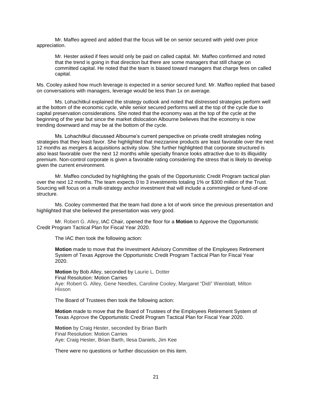Mr. Maffeo agreed and added that the focus will be on senior secured with yield over price appreciation.

Mr. Hester asked if fees would only be paid on called capital. Mr. Maffeo confirmed and noted that the trend is going in that direction but there are some managers that still charge on committed capital. He noted that the team is biased toward managers that charge fees on called capital.

Ms. Cooley asked how much leverage is expected in a senior secured fund. Mr. Maffeo replied that based on conversations with managers, leverage would be less than 1x on average.

Ms. Lohachitkul explained the strategy outlook and noted that distressed strategies perform well at the bottom of the economic cycle, while senior secured performs well at the top of the cycle due to capital preservation considerations. She noted that the economy was at the top of the cycle at the beginning of the year but since the market dislocation Albourne believes that the economy is now trending downward and may be at the bottom of the cycle.

Ms. Lohachitkul discussed Albourne's current perspective on private credit strategies noting strategies that they least favor. She highlighted that mezzanine products are least favorable over the next 12 months as mergers & acquisitions activity slow. She further highlighted that corporate structured is also least favorable over the next 12 months while specialty finance looks attractive due to its illiquidity premium. Non-control corporate is given a favorable rating considering the stress that is likely to develop given the current environment.

Mr. Maffeo concluded by highlighting the goals of the Opportunistic Credit Program tactical plan over the next 12 months. The team expects 0 to 3 investments totaling 1% or \$300 million of the Trust. Sourcing will focus on a multi-strategy anchor investment that will include a commingled or fund-of-one structure.

Ms. Cooley commented that the team had done a lot of work since the previous presentation and highlighted that she believed the presentation was very good.

Mr. Robert G. Alley, IAC Chair, opened the floor for a **Motion** to Approve the Opportunistic Credit Program Tactical Plan for Fiscal Year 2020.

The IAC then took the following action:

**Motion** made to move that the Investment Advisory Committee of the Employees Retirement System of Texas Approve the Opportunistic Credit Program Tactical Plan for Fiscal Year 2020.

**Motion** by Bob Alley, seconded by Laurie L. Dotter Final Resolution: Motion Carries Aye: Robert G. Alley, Gene Needles, Caroline Cooley, Margaret "Didi" Weinblatt, Milton Hixson

The Board of Trustees then took the following action:

**Motion** made to move that the Board of Trustees of the Employees Retirement System of Texas Approve the Opportunistic Credit Program Tactical Plan for Fiscal Year 2020.

**Motion** by Craig Hester, seconded by Brian Barth Final Resolution: Motion Carries Aye: Craig Hester, Brian Barth, Ilesa Daniels, Jim Kee

There were no questions or further discussion on this item.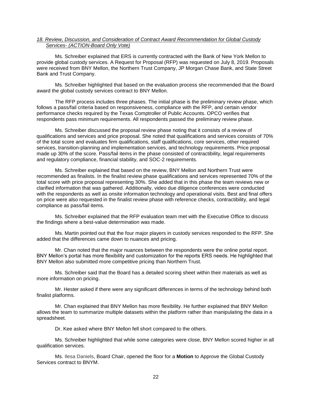#### <span id="page-23-0"></span>*18. Review, Discussion, and Consideration of Contract Award Recommendation for Global Custody Services- (ACTION-Board Only Vote)*

Ms. Schreiber explained that ERS is currently contracted with the Bank of New York Mellon to provide global custody services. A Request for Proposal (RFP) was requested on July 8, 2019. Proposals were received from BNY Mellon, the Northern Trust Company, JP Morgan Chase Bank, and State Street Bank and Trust Company.

Ms. Schreiber highlighted that based on the evaluation process she recommended that the Board award the global custody services contract to BNY Mellon.

The RFP process includes three phases. The initial phase is the preliminary review phase, which follows a pass/fail criteria based on responsiveness, compliance with the RFP, and certain vendor performance checks required by the Texas Comptroller of Public Accounts. OPCO verifies that respondents pass minimum requirements. All respondents passed the preliminary review phase.

Ms. Schreiber discussed the proposal review phase noting that it consists of a review of qualifications and services and price proposal. She noted that qualifications and services consists of 70% of the total score and evaluates firm qualifications, staff qualifications, core services, other required services, transition-planning and implementation services, and technology requirements. Price proposal made up 30% of the score. Pass/fail items in the phase consisted of contractibility, legal requirements and regulatory compliance, financial stability, and SOC-2 requirements.

Ms. Schreiber explained that based on the review, BNY Mellon and Northern Trust were recommended as finalists. In the finalist review phase qualifications and services represented 70% of the total score with price proposal representing 30%. She added that in this phase the team reviews new or clarified information that was gathered. Additionally, video due diligence conferences were conducted with the respondents as well as onsite information technology and operational visits. Best and final offers on price were also requested in the finalist review phase with reference checks, contractibility, and legal compliance as pass/fail items.

Ms. Schreiber explained that the RFP evaluation team met with the Executive Office to discuss the findings where a best-value determination was made.

Ms. Martin pointed out that the four major players in custody services responded to the RFP. She added that the differences came down to nuances and pricing.

Mr. Chan noted that the major nuances between the respondents were the online portal report. BNY Mellon's portal has more flexibility and customization for the reports ERS needs. He highlighted that BNY Mellon also submitted more competitive pricing than Northern Trust.

Ms. Schreiber said that the Board has a detailed scoring sheet within their materials as well as more information on pricing.

Mr. Hester asked if there were any significant differences in terms of the technology behind both finalist platforms.

Mr. Chan explained that BNY Mellon has more flexibility. He further explained that BNY Mellon allows the team to summarize multiple datasets within the platform rather than manipulating the data in a spreadsheet.

Dr. Kee asked where BNY Mellon fell short compared to the others.

Ms. Schreiber highlighted that while some categories were close, BNY Mellon scored higher in all qualification services.

Ms. Ilesa Daniels, Board Chair, opened the floor for a **Motion** to Approve the Global Custody Services contract to BNYM.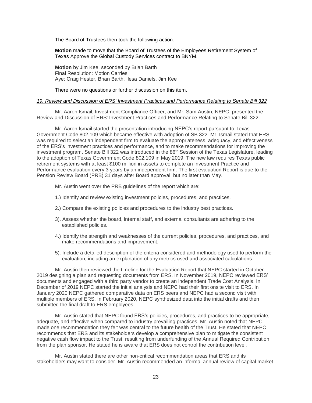The Board of Trustees then took the following action:

**Motion** made to move that the Board of Trustees of the Employees Retirement System of Texas Approve the Global Custody Services contract to BNYM.

**Motion** by Jim Kee, seconded by Brian Barth Final Resolution: Motion Carries Aye: Craig Hester, Brian Barth, Ilesa Daniels, Jim Kee

There were no questions or further discussion on this item.

#### <span id="page-24-0"></span>*19. Review and Discussion of ERS' Investment Practices and Performance Relating to Senate Bill 322*

Mr. Aaron Ismail, Investment Compliance Officer, and Mr. Sam Austin, NEPC, presented the Review and Discussion of ERS' Investment Practices and Performance Relating to Senate Bill 322.

Mr. Aaron Ismail started the presentation introducing NEPC's report pursuant to Texas Government Code 802.109 which became effective with adoption of SB 322. Mr. Ismail stated that ERS was required to select an independent firm to evaluate the appropriateness, adequacy, and effectiveness of the ERS's investment practices and performance, and to make recommendations for improving the investment program. Senate Bill 322 was introduced in the 86<sup>th</sup> Session of the Texas Legislature, leading to the adoption of Texas Government Code 802.109 in May 2019. The new law requires Texas public retirement systems with at least \$100 million in assets to complete an Investment Practice and Performance evaluation every 3 years by an independent firm. The first evaluation Report is due to the Pension Review Board (PRB) 31 days after Board approval, but no later than May.

Mr. Austin went over the PRB guidelines of the report which are:

- 1.) Identify and review existing investment policies, procedures, and practices.
- 2.) Compare the existing policies and procedures to the industry best practices.
- 3). Assess whether the board, internal staff, and external consultants are adhering to the established policies.
- 4.) Identify the strength and weaknesses of the current policies, procedures, and practices, and make recommendations and improvement.
- 5). Include a detailed description of the criteria considered and methodology used to perform the evaluation, including an explanation of any metrics used and associated calculations.

Mr. Austin then reviewed the timeline for the Evaluation Report that NEPC started in October 2019 designing a plan and requesting documents from ERS. In November 2019, NEPC reviewed ERS' documents and engaged with a third party vendor to create an independent Trade Cost Analysis. In December of 2019 NEPC started the initial analysis and NEPC had their first onsite visit to ERS. In January 2020 NEPC gathered comparative data on ERS peers and NEPC had a second visit with multiple members of ERS. In February 2020, NEPC synthesized data into the initial drafts and then submitted the final draft to ERS employees.

Mr. Austin stated that NEPC found ERS's policies, procedures, and practices to be appropriate, adequate, and effective when compared to industry prevailing practices. Mr. Austin noted that NEPC made one recommendation they felt was central to the future health of the Trust. He stated that NEPC recommends that ERS and its stakeholders develop a comprehensive plan to mitigate the consistent negative cash flow impact to the Trust, resulting from underfunding of the Annual Required Contribution from the plan sponsor. He stated he is aware that ERS does not control the contribution level.

Mr. Austin stated there are other non-critical recommendation areas that ERS and its stakeholders may want to consider. Mr. Austin recommended an informal annual review of capital market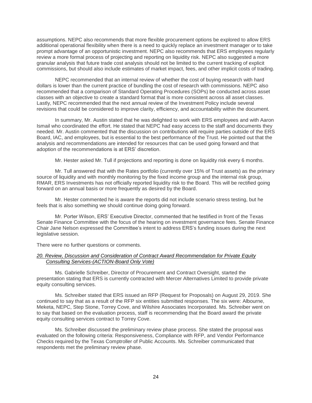assumptions. NEPC also recommends that more flexible procurement options be explored to allow ERS additional operational flexibility when there is a need to quickly replace an investment manager or to take prompt advantage of an opportunistic investment. NEPC also recommends that ERS employees regularly review a more formal process of projecting and reporting on liquidity risk. NEPC also suggested a more granular analysis that future trade cost analysis should not be limited to the current tracking of explicit commissions, but should also include estimates of market impact, fees, and other implicit costs of trading.

NEPC recommended that an internal review of whether the cost of buying research with hard dollars is lower than the current practice of bundling the cost of research with commissions. NEPC also recommended that a comparison of Standard Operating Procedures (SOPs) be conducted across asset classes with an objective to create a standard format that is more consistent across all asset classes. Lastly, NEPC recommended that the next annual review of the Investment Policy include several revisions that could be considered to improve clarity, efficiency, and accountability within the document.

In summary, Mr. Austin stated that he was delighted to work with ERS employees and with Aaron Ismail who coordinated the effort. He stated that NEPC had easy access to the staff and documents they needed. Mr. Austin commented that the discussion on contributions will require parties outside of the ERS Board, IAC, and employees, but is essential to the best performance of the Trust. He pointed out that the analysis and recommendations are intended for resources that can be used going forward and that adoption of the recommendations is at ERS' discretion.

Mr. Hester asked Mr. Tull if projections and reporting is done on liquidity risk every 6 months.

Mr. Tull answered that with the Rates portfolio (currently over 15% of Trust assets) as the primary source of liquidity and with monthly monitoring by the fixed income group and the internal risk group, RMAR, ERS Investments has not officially reported liquidity risk to the Board. This will be rectified going forward on an annual basis or more frequently as desired by the Board.

Mr. Hester commented he is aware the reports did not include scenario stress testing, but he feels that is also something we should continue doing going forward.

Mr. Porter Wilson, ERS' Executive Director, commented that he testified in front of the Texas Senate Finance Committee with the focus of the hearing on investment governance fees. Senate Finance Chair Jane Nelson expressed the Committee's intent to address ERS's funding issues during the next legislative session.

There were no further questions or comments.

#### <span id="page-25-0"></span>*20. Review, Discussion and Consideration of Contract Award Recommendation for Private Equity Consulting Services-(ACTION-Board Only Vote)*

Ms. Gabrielle Schreiber, Director of Procurement and Contract Oversight, started the presentation stating that ERS is currently contracted with Mercer Alternatives Limited to provide private equity consulting services.

Ms. Schreiber stated that ERS issued an RFP (Request for Proposals) on August 29, 2019. She continued to say that as a result of the RFP six entities submitted responses. The six were: Albourne, Meketa, NEPC, Step Stone, Torrey Cove, and Wilshire Associates Incorporated. Ms. Schreiber went on to say that based on the evaluation process, staff is recommending that the Board award the private equity consulting services contract to Torrey Cove.

Ms. Schreiber discussed the preliminary review phase process. She stated the proposal was evaluated on the following criteria: Responsiveness, Compliance with RFP, and Vendor Performance Checks required by the Texas Comptroller of Public Accounts. Ms. Schreiber communicated that respondents met the preliminary review phase.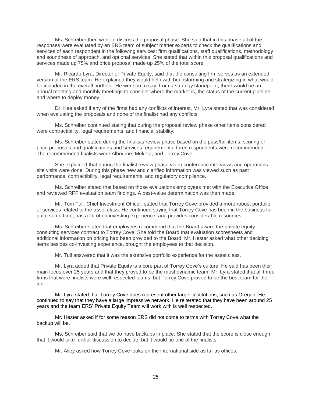Ms. Schreiber then went to discuss the proposal phase. She said that in this phase all of the responses were evaluated by an ERS team of subject matter experts to check the qualifications and services of each respondent in the following services: firm qualifications, staff qualifications, methodology and soundness of approach, and optional services. She stated that within this proposal qualifications and services made up 75% and price proposal made up 25% of the total score.

Mr. Ricardo Lyra, Director of Private Equity, said that the consulting firm serves as an extended version of the ERS team. He explained they would help with brainstorming and strategizing in what would be included in the overall portfolio. He went on to say, from a strategy standpoint, there would be an annual meeting and monthly meetings to consider where the market is, the status of the current pipeline, and where to deploy money.

Dr. Kee asked if any of the firms had any conflicts of interest. Mr. Lyra stated that was considered when evaluating the proposals and none of the finalist had any conflicts.

Ms. Schreiber continued stating that during the proposal review phase other items considered were contractibility, legal requirements, and financial stability.

Ms. Schreiber stated during the finalists review phase based on the pass/fail items, scoring of price proposals and qualifications and services requirements, three respondents were recommended. The recommended finalists were Albourne, Meketa, and Torrey Cove.

She explained that during the finalist review phase video conference interviews and operations site visits were done. During this phase new and clarified information was viewed such as past performance, contractibility, legal requirements, and regulatory compliance.

Ms. Schreiber stated that based on those evaluations employees met with the Executive Office and reviewed RFP evaluation team findings. A best-value determination was then made.

Mr. Tom Tull, Chief Investment Officer, stated that Torrey Cove provided a more robust portfolio of services related to the asset class. He continued saying that Torrey Cove has been in the business for quite some time, has a lot of co-investing experience, and provides considerable resources.

Ms. Schreiber stated that employees recommend that the Board award the private equity consulting services contract to Torrey Cove. She told the Board that evaluation scoresheets and additional information on pricing had been provided to the Board. Mr. Hester asked what other deciding items besides co-investing experience, brought the employees to that decision.

Mr. Tull answered that it was the extensive portfolio experience for the asset class.

Mr. Lyra added that Private Equity is a core part of Torrey Cove's culture. He said has been their main focus over 25 years and that they proved to be the most dynamic team. Mr. Lyra stated that all three firms that were finalists were well respected teams, but Torrey Cove proved to be the best team for the job.

Mr. Lyra stated that Torrey Cove does represent other larger institutions, such as Oregon. He continued to say that they have a large impressive network. He reiterated that they have been around 25 years and the team ERS' Private Equity Team will work with is well respected.

Mr. Hester asked if for some reason ERS did not come to terms with Torrey Cove what the backup will be.

Ms. Schreiber said that we do have backups in place. She stated that the score is close enough that it would take further discussion to decide, but it would be one of the finalists.

Mr. Alley asked how Torrey Cove looks on the international side as far as offices.